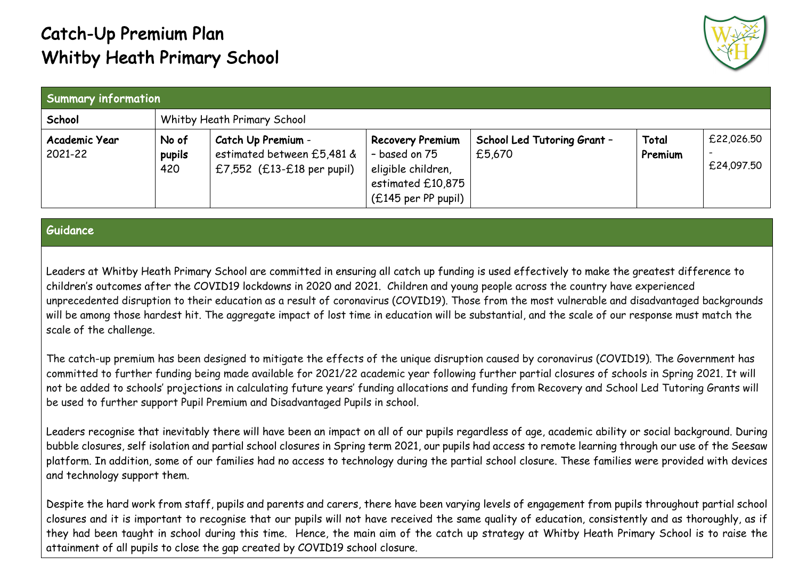## Catch-Up Premium Plan Whitby Heath Primary School



| <b>Summary information</b> |                        |                                                                                  |                                                                                                              |                                       |                  |                          |  |
|----------------------------|------------------------|----------------------------------------------------------------------------------|--------------------------------------------------------------------------------------------------------------|---------------------------------------|------------------|--------------------------|--|
| School                     |                        | Whitby Heath Primary School                                                      |                                                                                                              |                                       |                  |                          |  |
| Academic Year<br>2021-22   | No of<br>pupils<br>420 | Catch Up Premium -<br>estimated between £5,481 &<br>£7,552 $(£13-E18$ per pupil) | <b>Recovery Premium</b><br>- based on 75<br>eligible children,<br>estimated £10,875<br>$(£145$ per PP pupil) | School Led Tutoring Grant -<br>£5,670 | Total<br>Premium | £22,026.50<br>£24,097.50 |  |

## Guidance

Leaders at Whitby Heath Primary School are committed in ensuring all catch up funding is used effectively to make the greatest difference to children's outcomes after the COVID19 lockdowns in 2020 and 2021. Children and young people across the country have experienced unprecedented disruption to their education as a result of coronavirus (COVID19). Those from the most vulnerable and disadvantaged backgrounds will be among those hardest hit. The aggregate impact of lost time in education will be substantial, and the scale of our response must match the scale of the challenge.

The catch-up premium has been designed to mitigate the effects of the unique disruption caused by coronavirus (COVID19). The Government has committed to further funding being made available for 2021/22 academic year following further partial closures of schools in Spring 2021. It will not be added to schools' projections in calculating future years' funding allocations and funding from Recovery and School Led Tutoring Grants will be used to further support Pupil Premium and Disadvantaged Pupils in school.

Leaders recognise that inevitably there will have been an impact on all of our pupils regardless of age, academic ability or social background. During bubble closures, self isolation and partial school closures in Spring term 2021, our pupils had access to remote learning through our use of the Seesaw platform. In addition, some of our families had no access to technology during the partial school closure. These families were provided with devices and technology support them.

Despite the hard work from staff, pupils and parents and carers, there have been varying levels of engagement from pupils throughout partial school closures and it is important to recognise that our pupils will not have received the same quality of education, consistently and as thoroughly, as if they had been taught in school during this time. Hence, the main aim of the catch up strategy at Whitby Heath Primary School is to raise the attainment of all pupils to close the gap created by COVID19 school closure.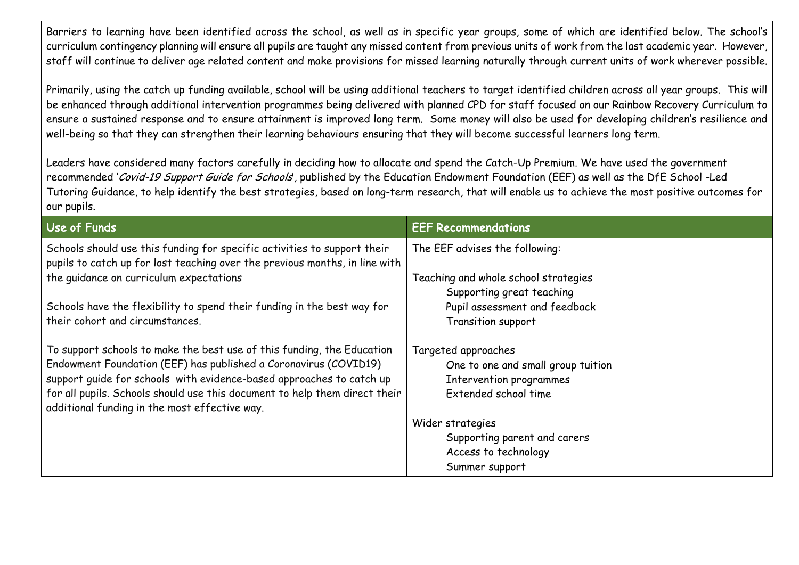Barriers to learning have been identified across the school, as well as in specific year groups, some of which are identified below. The school's curriculum contingency planning will ensure all pupils are taught any missed content from previous units of work from the last academic year. However, staff will continue to deliver age related content and make provisions for missed learning naturally through current units of work wherever possible.

Primarily, using the catch up funding available, school will be using additional teachers to target identified children across all year groups. This will be enhanced through additional intervention programmes being delivered with planned CPD for staff focused on our Rainbow Recovery Curriculum to ensure a sustained response and to ensure attainment is improved long term. Some money will also be used for developing children's resilience and well-being so that they can strengthen their learning behaviours ensuring that they will become successful learners long term.

Leaders have considered many factors carefully in deciding how to allocate and spend the Catch-Up Premium. We have used the government recommended 'Covid-19 Support Guide for Schools', published by the Education Endowment Foundation (EEF) as well as the DfE School -Led Tutoring Guidance, to help identify the best strategies, based on long-term research, that will enable us to achieve the most positive outcomes for our pupils.

| Use of Funds                                                                                                                                            | <b>EEF Recommendations</b>           |
|---------------------------------------------------------------------------------------------------------------------------------------------------------|--------------------------------------|
| Schools should use this funding for specific activities to support their<br>pupils to catch up for lost teaching over the previous months, in line with | The EEF advises the following:       |
| the quidance on curriculum expectations                                                                                                                 | Teaching and whole school strategies |
|                                                                                                                                                         | Supporting great teaching            |
| Schools have the flexibility to spend their funding in the best way for                                                                                 | Pupil assessment and feedback        |
| their cohort and circumstances.                                                                                                                         | Transition support                   |
| To support schools to make the best use of this funding, the Education                                                                                  | Targeted approaches                  |
| Endowment Foundation (EEF) has published a Coronavirus (COVID19)                                                                                        | One to one and small group tuition   |
| support quide for schools with evidence-based approaches to catch up                                                                                    | Intervention programmes              |
| for all pupils. Schools should use this document to help them direct their<br>additional funding in the most effective way.                             | Extended school time                 |
|                                                                                                                                                         | Wider strategies                     |
|                                                                                                                                                         | Supporting parent and carers         |
|                                                                                                                                                         | Access to technology                 |
|                                                                                                                                                         | Summer support                       |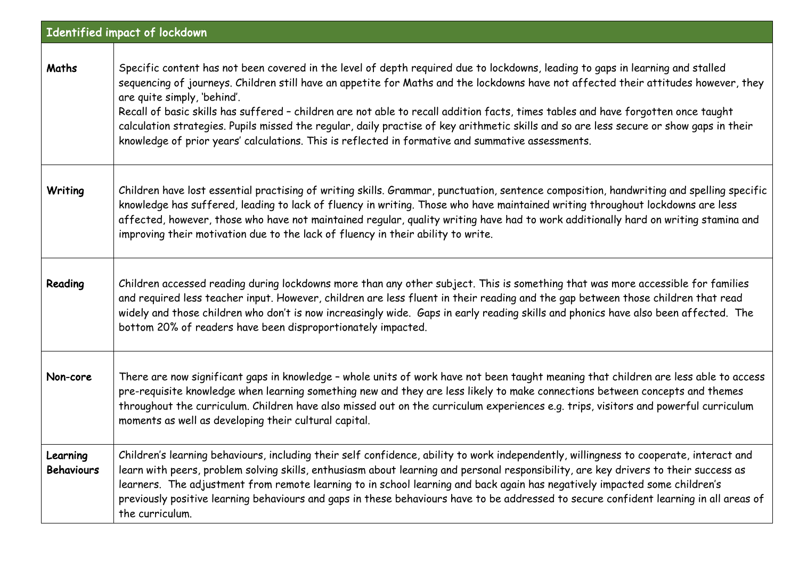|                               | Identified impact of lockdown                                                                                                                                                                                                                                                                                                                                                                                                                                                                                                                                                                                                                                                             |
|-------------------------------|-------------------------------------------------------------------------------------------------------------------------------------------------------------------------------------------------------------------------------------------------------------------------------------------------------------------------------------------------------------------------------------------------------------------------------------------------------------------------------------------------------------------------------------------------------------------------------------------------------------------------------------------------------------------------------------------|
| Maths                         | Specific content has not been covered in the level of depth required due to lockdowns, leading to gaps in learning and stalled<br>sequencing of journeys. Children still have an appetite for Maths and the lockdowns have not affected their attitudes however, they<br>are quite simply, 'behind'.<br>Recall of basic skills has suffered - children are not able to recall addition facts, times tables and have forgotten once taught<br>calculation strategies. Pupils missed the regular, daily practise of key arithmetic skills and so are less secure or show gaps in their<br>knowledge of prior years' calculations. This is reflected in formative and summative assessments. |
| Writing                       | Children have lost essential practising of writing skills. Grammar, punctuation, sentence composition, handwriting and spelling specific<br>knowledge has suffered, leading to lack of fluency in writing. Those who have maintained writing throughout lockdowns are less<br>affected, however, those who have not maintained regular, quality writing have had to work additionally hard on writing stamina and<br>improving their motivation due to the lack of fluency in their ability to write.                                                                                                                                                                                     |
| Reading                       | Children accessed reading during lockdowns more than any other subject. This is something that was more accessible for families<br>and required less teacher input. However, children are less fluent in their reading and the gap between those children that read<br>widely and those children who don't is now increasingly wide. Gaps in early reading skills and phonics have also been affected. The<br>bottom 20% of readers have been disproportionately impacted.                                                                                                                                                                                                                |
| Non-core                      | There are now significant gaps in knowledge - whole units of work have not been taught meaning that children are less able to access<br>pre-requisite knowledge when learning something new and they are less likely to make connections between concepts and themes<br>throughout the curriculum. Children have also missed out on the curriculum experiences e.g. trips, visitors and powerful curriculum<br>moments as well as developing their cultural capital.                                                                                                                                                                                                                      |
| Learning<br><b>Behaviours</b> | Children's learning behaviours, including their self confidence, ability to work independently, willingness to cooperate, interact and<br>learn with peers, problem solving skills, enthusiasm about learning and personal responsibility, are key drivers to their success as<br>learners. The adjustment from remote learning to in school learning and back again has negatively impacted some children's<br>previously positive learning behaviours and gaps in these behaviours have to be addressed to secure confident learning in all areas of<br>the curriculum.                                                                                                                 |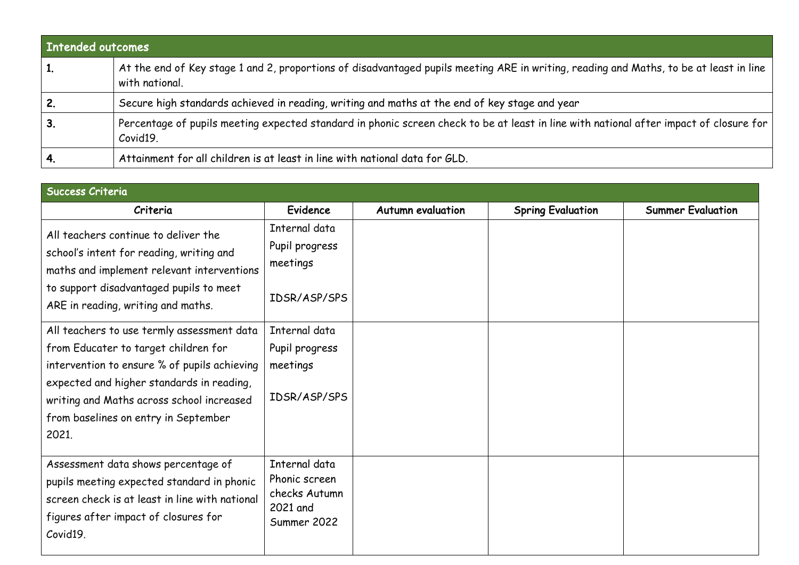| <b>Intended outcomes</b> |                                                                                                                                                            |
|--------------------------|------------------------------------------------------------------------------------------------------------------------------------------------------------|
|                          | At the end of Key stage 1 and 2, proportions of disadvantaged pupils meeting ARE in writing, reading and Maths, to be at least in line  <br>with national. |
|                          | Secure high standards achieved in reading, writing and maths at the end of key stage and year                                                              |
| 3.                       | Percentage of pupils meeting expected standard in phonic screen check to be at least in line with national after impact of closure for<br>Covid19.         |
|                          | Attainment for all children is at least in line with national data for GLD.                                                                                |

| <b>Success Criteria</b>                                                                                                                                                                                                                                                       |                                                                            |                          |                          |                          |  |  |  |
|-------------------------------------------------------------------------------------------------------------------------------------------------------------------------------------------------------------------------------------------------------------------------------|----------------------------------------------------------------------------|--------------------------|--------------------------|--------------------------|--|--|--|
| Criteria                                                                                                                                                                                                                                                                      | Evidence                                                                   | <b>Autumn evaluation</b> | <b>Spring Evaluation</b> | <b>Summer Evaluation</b> |  |  |  |
| All teachers continue to deliver the<br>school's intent for reading, writing and<br>maths and implement relevant interventions<br>to support disadvantaged pupils to meet                                                                                                     | Internal data<br>Pupil progress<br>meetings                                |                          |                          |                          |  |  |  |
| ARE in reading, writing and maths.                                                                                                                                                                                                                                            | IDSR/ASP/SPS                                                               |                          |                          |                          |  |  |  |
| All teachers to use termly assessment data<br>from Educater to target children for<br>intervention to ensure % of pupils achieving<br>expected and higher standards in reading,<br>writing and Maths across school increased<br>from baselines on entry in September<br>2021. | Internal data<br>Pupil progress<br>meetings<br>IDSR/ASP/SPS                |                          |                          |                          |  |  |  |
| Assessment data shows percentage of<br>pupils meeting expected standard in phonic<br>screen check is at least in line with national<br>figures after impact of closures for<br>Covid19.                                                                                       | Internal data<br>Phonic screen<br>checks Autumn<br>2021 and<br>Summer 2022 |                          |                          |                          |  |  |  |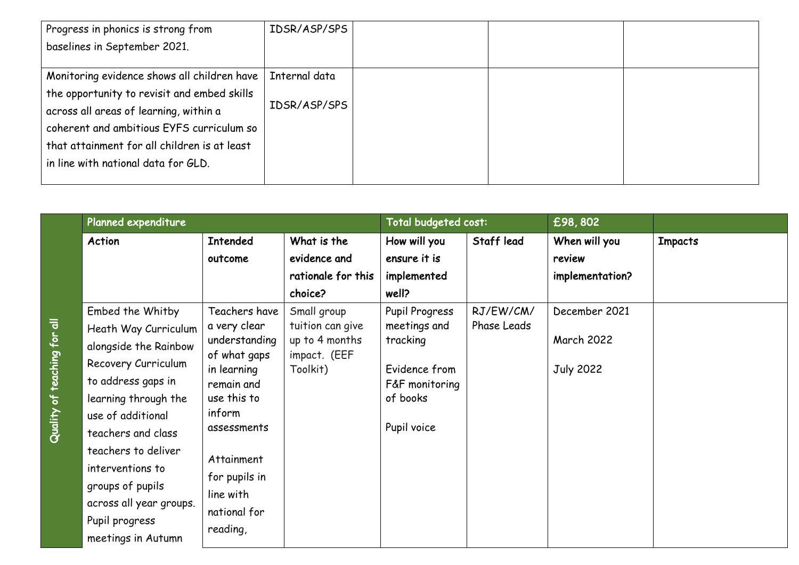| Progress in phonics is strong from           | IDSR/ASP/SPS  |  |  |
|----------------------------------------------|---------------|--|--|
| baselines in September 2021.                 |               |  |  |
|                                              |               |  |  |
| Monitoring evidence shows all children have  | Internal data |  |  |
| the opportunity to revisit and embed skills  |               |  |  |
| across all areas of learning, within a       | IDSR/ASP/SPS  |  |  |
| coherent and ambitious EYFS curriculum so    |               |  |  |
| that attainment for all children is at least |               |  |  |
| in line with national data for GLD.          |               |  |  |
|                                              |               |  |  |

|                             | Planned expenditure     |                                                              |                                            | Total budgeted cost: |             | £98,802           |                |
|-----------------------------|-------------------------|--------------------------------------------------------------|--------------------------------------------|----------------------|-------------|-------------------|----------------|
|                             | Action                  | <b>Intended</b>                                              | What is the                                | How will you         | Staff lead  | When will you     | <b>Impacts</b> |
|                             |                         | outcome                                                      | evidence and                               | ensure it is         |             | review            |                |
|                             |                         |                                                              | rationale for this                         | implemented          |             | implementation?   |                |
|                             |                         |                                                              | choice?                                    | well?                |             |                   |                |
|                             | Embed the Whitby        | Teachers have                                                | Small group                                | Pupil Progress       | RJ/EW/CM/   | December 2021     |                |
|                             | Heath Way Curriculum    | a very clear<br>understanding<br>of what gaps<br>in learning | tuition can give                           | meetings and         | Phase Leads |                   |                |
| Quality of teaching for all | alongside the Rainbow   |                                                              | up to 4 months<br>impact. (EEF<br>Toolkit) | tracking             |             | <b>March 2022</b> |                |
|                             | Recovery Curriculum     |                                                              |                                            | Evidence from        |             | <b>July 2022</b>  |                |
|                             | to address gaps in      | remain and                                                   |                                            | F&F monitoring       |             |                   |                |
|                             | learning through the    | use this to                                                  |                                            | of books             |             |                   |                |
|                             | use of additional       | inform                                                       |                                            | Pupil voice          |             |                   |                |
|                             | teachers and class      | assessments                                                  |                                            |                      |             |                   |                |
|                             | teachers to deliver     |                                                              |                                            |                      |             |                   |                |
|                             | interventions to        | Attainment                                                   |                                            |                      |             |                   |                |
|                             | groups of pupils        | for pupils in<br>line with                                   |                                            |                      |             |                   |                |
|                             | across all year groups. |                                                              |                                            |                      |             |                   |                |
|                             | Pupil progress          | national for                                                 |                                            |                      |             |                   |                |
|                             | meetings in Autumn      | reading,                                                     |                                            |                      |             |                   |                |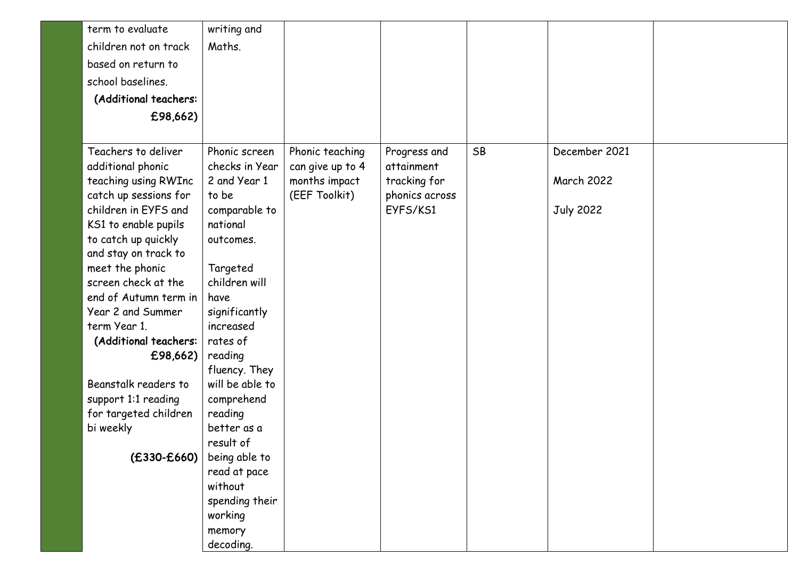| term to evaluate<br>writing and<br>children not on track<br>Maths.<br>based on return to       |  |
|------------------------------------------------------------------------------------------------|--|
|                                                                                                |  |
|                                                                                                |  |
|                                                                                                |  |
| school baselines.                                                                              |  |
| (Additional teachers:                                                                          |  |
| £98,662)                                                                                       |  |
|                                                                                                |  |
| Teachers to deliver<br>SB<br>Phonic screen<br>December 2021<br>Phonic teaching<br>Progress and |  |
| additional phonic<br>checks in Year<br>can give up to 4<br>attainment                          |  |
| teaching using RWInc<br>2 and Year 1<br>months impact<br>tracking for<br><b>March 2022</b>     |  |
| catch up sessions for<br>(EEF Toolkit)<br>to be<br>phonics across                              |  |
| children in EYFS and<br>comparable to<br>EYFS/KS1<br><b>July 2022</b>                          |  |
| KS1 to enable pupils<br>national                                                               |  |
| to catch up quickly<br>outcomes.                                                               |  |
| and stay on track to                                                                           |  |
| meet the phonic<br>Targeted                                                                    |  |
| screen check at the<br>children will                                                           |  |
| end of Autumn term in<br>have                                                                  |  |
| Year 2 and Summer<br>significantly                                                             |  |
| increased<br>term Year 1.                                                                      |  |
| (Additional teachers:<br>rates of                                                              |  |
| £98,662)<br>reading                                                                            |  |
| fluency. They                                                                                  |  |
| Beanstalk readers to<br>will be able to                                                        |  |
| support 1:1 reading<br>comprehend                                                              |  |
| for targeted children<br>reading                                                               |  |
| better as a<br>bi weekly                                                                       |  |
| result of                                                                                      |  |
| $(E330-E660)$<br>being able to                                                                 |  |
| read at pace<br>without                                                                        |  |
| spending their                                                                                 |  |
| working                                                                                        |  |
| memory                                                                                         |  |
| decoding.                                                                                      |  |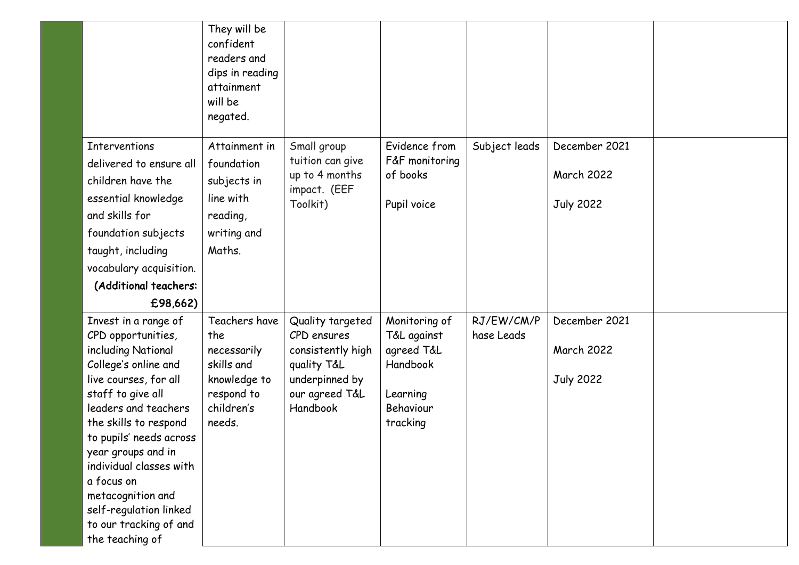|                                           | They will be             |                                  |                       |               |                   |  |
|-------------------------------------------|--------------------------|----------------------------------|-----------------------|---------------|-------------------|--|
|                                           | confident                |                                  |                       |               |                   |  |
|                                           | readers and              |                                  |                       |               |                   |  |
|                                           | dips in reading          |                                  |                       |               |                   |  |
|                                           | attainment               |                                  |                       |               |                   |  |
|                                           | will be                  |                                  |                       |               |                   |  |
|                                           | negated.                 |                                  |                       |               |                   |  |
| <b>Interventions</b>                      | Attainment in            | Small group                      | Evidence from         | Subject leads | December 2021     |  |
| delivered to ensure all                   | foundation               | tuition can give                 | F&F monitoring        |               |                   |  |
| children have the                         | subjects in              | up to 4 months<br>impact. (EEF   | of books              |               | <b>March 2022</b> |  |
| essential knowledge                       | line with                | Toolkit)                         | Pupil voice           |               | <b>July 2022</b>  |  |
| and skills for                            | reading,                 |                                  |                       |               |                   |  |
| foundation subjects                       | writing and              |                                  |                       |               |                   |  |
| taught, including                         | Maths.                   |                                  |                       |               |                   |  |
| vocabulary acquisition.                   |                          |                                  |                       |               |                   |  |
| (Additional teachers:                     |                          |                                  |                       |               |                   |  |
| £98,662)                                  |                          |                                  |                       |               |                   |  |
| Invest in a range of                      | Teachers have            | Quality targeted                 | Monitoring of         | RJ/EW/CM/P    | December 2021     |  |
| CPD opportunities,                        | the                      | CPD ensures                      | T&L against           | hase Leads    |                   |  |
| including National                        | necessarily              | consistently high                | agreed T&L            |               | <b>March 2022</b> |  |
| College's online and                      | skills and               | quality T&L                      | Handbook              |               |                   |  |
| live courses, for all                     | knowledge to             | underpinned by<br>our agreed T&L |                       |               | <b>July 2022</b>  |  |
| staff to give all<br>leaders and teachers | respond to<br>children's | Handbook                         | Learning<br>Behaviour |               |                   |  |
| the skills to respond                     | needs.                   |                                  | tracking              |               |                   |  |
| to pupils' needs across                   |                          |                                  |                       |               |                   |  |
| year groups and in                        |                          |                                  |                       |               |                   |  |
| individual classes with                   |                          |                                  |                       |               |                   |  |
| a focus on                                |                          |                                  |                       |               |                   |  |
| metacognition and                         |                          |                                  |                       |               |                   |  |
| self-regulation linked                    |                          |                                  |                       |               |                   |  |
| to our tracking of and                    |                          |                                  |                       |               |                   |  |
| the teaching of                           |                          |                                  |                       |               |                   |  |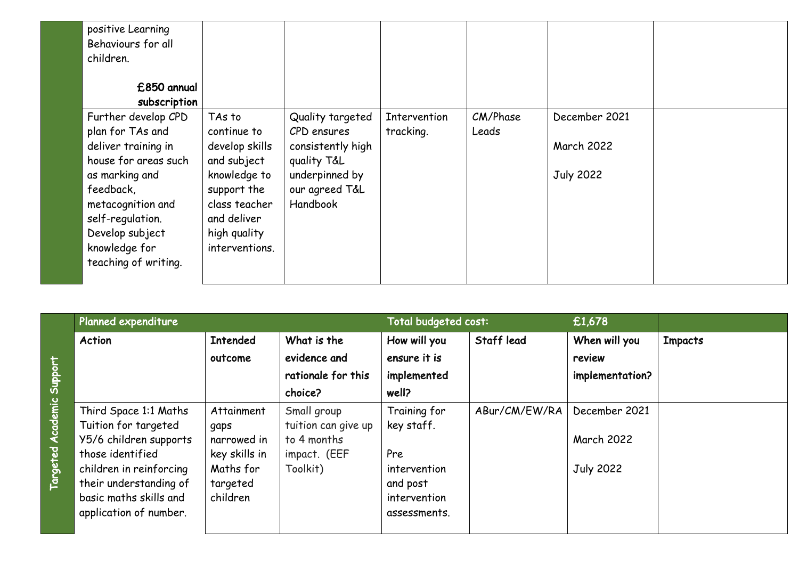| positive Learning<br>Behaviours for all<br>children. |                |                   |              |          |                   |  |
|------------------------------------------------------|----------------|-------------------|--------------|----------|-------------------|--|
| £850 annual                                          |                |                   |              |          |                   |  |
| subscription                                         |                |                   |              |          |                   |  |
| Further develop CPD                                  | TAs to         | Quality targeted  | Intervention | CM/Phase | December 2021     |  |
| plan for TAs and                                     | continue to    | CPD ensures       | tracking.    | Leads    |                   |  |
| deliver training in                                  | develop skills | consistently high |              |          | <b>March 2022</b> |  |
| house for areas such                                 | and subject    | quality T&L       |              |          |                   |  |
| as marking and                                       | knowledge to   | underpinned by    |              |          | <b>July 2022</b>  |  |
| feedback,                                            | support the    | our agreed T&L    |              |          |                   |  |
| metacognition and                                    | class teacher  | Handbook          |              |          |                   |  |
| self-regulation.                                     | and deliver    |                   |              |          |                   |  |
| Develop subject                                      | high quality   |                   |              |          |                   |  |
| knowledge for                                        | interventions. |                   |              |          |                   |  |
| teaching of writing.                                 |                |                   |              |          |                   |  |
|                                                      |                |                   |              |          |                   |  |

| Planned expenditure                           |                    |                                    | Total budgeted cost:       |               | £1,678            |                |
|-----------------------------------------------|--------------------|------------------------------------|----------------------------|---------------|-------------------|----------------|
| Action                                        | <b>Intended</b>    | What is the                        | How will you               | Staff lead    | When will you     | <b>Impacts</b> |
|                                               | outcome            | evidence and                       | ensure it is               |               | review            |                |
|                                               |                    | rationale for this                 | implemented                |               | implementation?   |                |
|                                               |                    | choice?                            | well?                      |               |                   |                |
| Third Space 1:1 Maths<br>Tuition for targeted | Attainment<br>gaps | Small group<br>tuition can give up | Training for<br>key staff. | ABur/CM/EW/RA | December 2021     |                |
| Y5/6 children supports                        | narrowed in        | to 4 months                        |                            |               | <b>March 2022</b> |                |
| those identified                              | key skills in      | impact. (EEF                       | Pre                        |               |                   |                |
| children in reinforcing                       | Maths for          | Toolkit)                           | intervention               |               | <b>July 2022</b>  |                |
| their understanding of                        | targeted           |                                    | and post                   |               |                   |                |
| basic maths skills and                        | children           |                                    | intervention               |               |                   |                |
| application of number.                        |                    |                                    | assessments.               |               |                   |                |
|                                               |                    |                                    |                            |               |                   |                |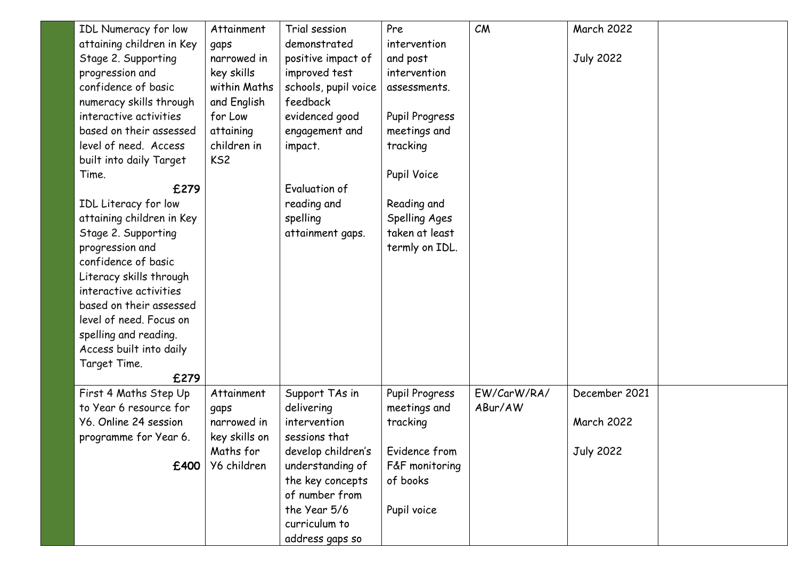| IDL Numeracy for low      | Attainment      | Trial session        | Pre            | CM          | <b>March 2022</b> |  |
|---------------------------|-----------------|----------------------|----------------|-------------|-------------------|--|
| attaining children in Key | gaps            | demonstrated         | intervention   |             |                   |  |
| Stage 2. Supporting       | narrowed in     | positive impact of   | and post       |             | <b>July 2022</b>  |  |
| progression and           | key skills      | improved test        | intervention   |             |                   |  |
| confidence of basic       | within Maths    | schools, pupil voice | assessments.   |             |                   |  |
| numeracy skills through   | and English     | feedback             |                |             |                   |  |
| interactive activities    | for Low         | evidenced good       | Pupil Progress |             |                   |  |
| based on their assessed   | attaining       | engagement and       | meetings and   |             |                   |  |
| level of need. Access     | children in     | impact.              | tracking       |             |                   |  |
| built into daily Target   | KS <sub>2</sub> |                      |                |             |                   |  |
| Time.                     |                 |                      | Pupil Voice    |             |                   |  |
| £279                      |                 | Evaluation of        |                |             |                   |  |
| IDL Literacy for low      |                 | reading and          | Reading and    |             |                   |  |
| attaining children in Key |                 | spelling             | Spelling Ages  |             |                   |  |
| Stage 2. Supporting       |                 | attainment gaps.     | taken at least |             |                   |  |
| progression and           |                 |                      | termly on IDL. |             |                   |  |
| confidence of basic       |                 |                      |                |             |                   |  |
| Literacy skills through   |                 |                      |                |             |                   |  |
| interactive activities    |                 |                      |                |             |                   |  |
| based on their assessed   |                 |                      |                |             |                   |  |
| level of need. Focus on   |                 |                      |                |             |                   |  |
| spelling and reading.     |                 |                      |                |             |                   |  |
| Access built into daily   |                 |                      |                |             |                   |  |
| Target Time.              |                 |                      |                |             |                   |  |
| £279                      |                 |                      |                |             |                   |  |
| First 4 Maths Step Up     | Attainment      | Support TAs in       | Pupil Progress | EW/CarW/RA/ | December 2021     |  |
| to Year 6 resource for    | gaps            | delivering           | meetings and   | ABur/AW     |                   |  |
| Y6. Online 24 session     | narrowed in     | intervention         | tracking       |             | <b>March 2022</b> |  |
| programme for Year 6.     | key skills on   | sessions that        |                |             |                   |  |
|                           | Maths for       | develop children's   | Evidence from  |             | <b>July 2022</b>  |  |
| £400                      | Y6 children     | understanding of     | F&F monitoring |             |                   |  |
|                           |                 | the key concepts     | of books       |             |                   |  |
|                           |                 | of number from       |                |             |                   |  |
|                           |                 | the Year 5/6         | Pupil voice    |             |                   |  |
|                           |                 | curriculum to        |                |             |                   |  |
|                           |                 | address gaps so      |                |             |                   |  |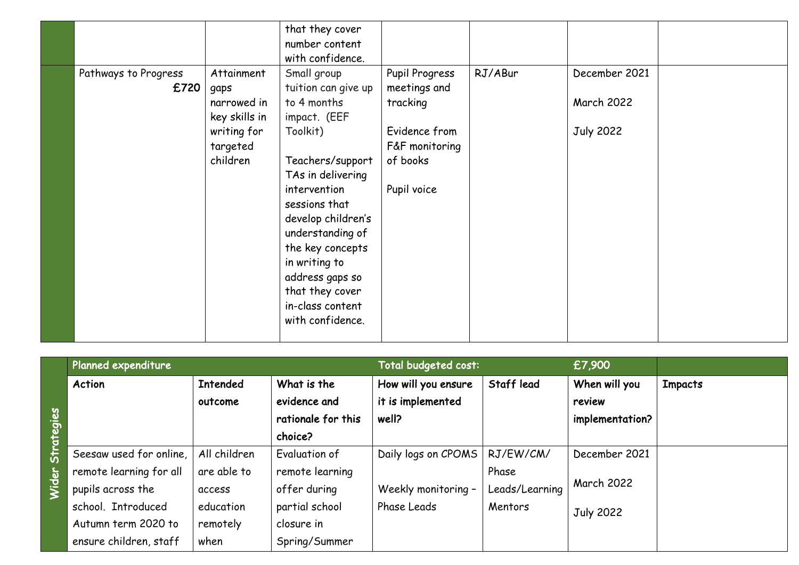|                      |               | that they cover     |                |         |                   |  |
|----------------------|---------------|---------------------|----------------|---------|-------------------|--|
|                      |               | number content      |                |         |                   |  |
|                      |               | with confidence.    |                |         |                   |  |
| Pathways to Progress | Attainment    | Small group         | Pupil Progress | RJ/ABur | December 2021     |  |
| £720                 | gaps          | tuition can give up | meetings and   |         |                   |  |
|                      | narrowed in   | to 4 months         | tracking       |         | <b>March 2022</b> |  |
|                      | key skills in | impact. (EEF        |                |         |                   |  |
|                      | writing for   | Toolkit)            | Evidence from  |         | <b>July 2022</b>  |  |
|                      | targeted      |                     | F&F monitoring |         |                   |  |
|                      | children      | Teachers/support    | of books       |         |                   |  |
|                      |               | TAs in delivering   |                |         |                   |  |
|                      |               | intervention        | Pupil voice    |         |                   |  |
|                      |               | sessions that       |                |         |                   |  |
|                      |               | develop children's  |                |         |                   |  |
|                      |               | understanding of    |                |         |                   |  |
|                      |               | the key concepts    |                |         |                   |  |
|                      |               | in writing to       |                |         |                   |  |
|                      |               | address gaps so     |                |         |                   |  |
|                      |               | that they cover     |                |         |                   |  |
|                      |               | in-class content    |                |         |                   |  |
|                      |               | with confidence.    |                |         |                   |  |
|                      |               |                     |                |         |                   |  |

|              | Planned expenditure     |                 |                    | Total budgeted cost: |                | £7,900            |                |
|--------------|-------------------------|-----------------|--------------------|----------------------|----------------|-------------------|----------------|
|              | <b>Action</b>           | <b>Intended</b> | What is the        | How will you ensure  | Staff lead     | When will you     | <b>Impacts</b> |
|              |                         | outcome         | evidence and       | it is implemented    |                | review            |                |
|              |                         |                 | rationale for this | well?                |                | implementation?   |                |
| ategies      |                         |                 | choice?            |                      |                |                   |                |
| Sfr          | Seesaw used for online, | All children    | Evaluation of      | Daily logs on CPOMS  | RJ/EW/CM/      | December 2021     |                |
| $\mathbf{r}$ | remote learning for all | are able to     | remote learning    |                      | Phase          |                   |                |
|              | pupils across the       | access          | offer during       | Weekly monitoring -  | Leads/Learning | <b>March 2022</b> |                |
|              | school. Introduced      | education       | partial school     | Phase Leads          | Mentors        | <b>July 2022</b>  |                |
|              | Autumn term 2020 to     | remotely        | closure in         |                      |                |                   |                |
|              | ensure children, staff  | when            | Spring/Summer      |                      |                |                   |                |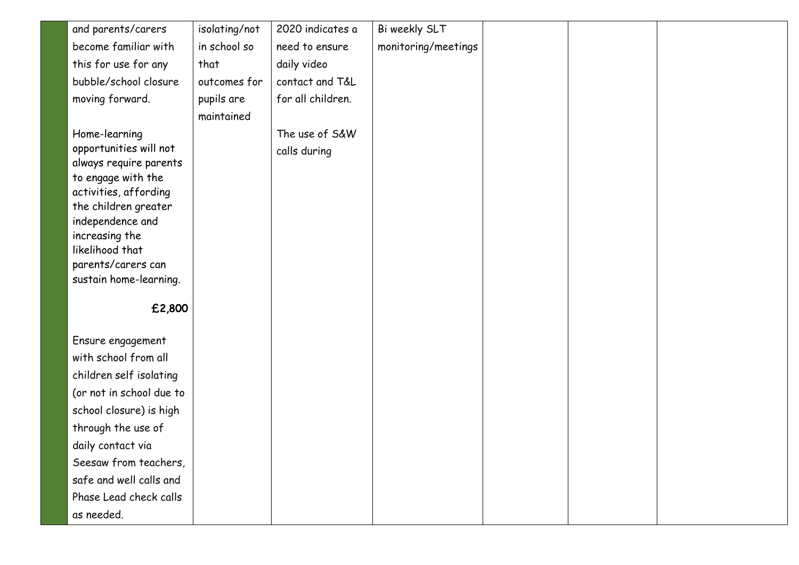| and parents/carers                          | isolating/not | 2020 indicates a  | Bi weekly SLT       |  |  |
|---------------------------------------------|---------------|-------------------|---------------------|--|--|
| become familiar with                        | in school so  | need to ensure    | monitoring/meetings |  |  |
| this for use for any                        | that          | daily video       |                     |  |  |
| bubble/school closure                       | outcomes for  | contact and T&L   |                     |  |  |
| moving forward.                             | pupils are    | for all children. |                     |  |  |
|                                             | maintained    |                   |                     |  |  |
| Home-learning                               |               | The use of S&W    |                     |  |  |
| opportunities will not                      |               | calls during      |                     |  |  |
| always require parents                      |               |                   |                     |  |  |
| to engage with the<br>activities, affording |               |                   |                     |  |  |
| the children greater                        |               |                   |                     |  |  |
| independence and                            |               |                   |                     |  |  |
| increasing the                              |               |                   |                     |  |  |
| likelihood that                             |               |                   |                     |  |  |
| parents/carers can                          |               |                   |                     |  |  |
| sustain home-learning.                      |               |                   |                     |  |  |
| £2,800                                      |               |                   |                     |  |  |
|                                             |               |                   |                     |  |  |
| Ensure engagement                           |               |                   |                     |  |  |
| with school from all                        |               |                   |                     |  |  |
| children self isolating                     |               |                   |                     |  |  |
| (or not in school due to                    |               |                   |                     |  |  |
| school closure) is high                     |               |                   |                     |  |  |
| through the use of                          |               |                   |                     |  |  |
| daily contact via                           |               |                   |                     |  |  |
| Seesaw from teachers,                       |               |                   |                     |  |  |
| safe and well calls and                     |               |                   |                     |  |  |
| Phase Lead check calls                      |               |                   |                     |  |  |
| as needed.                                  |               |                   |                     |  |  |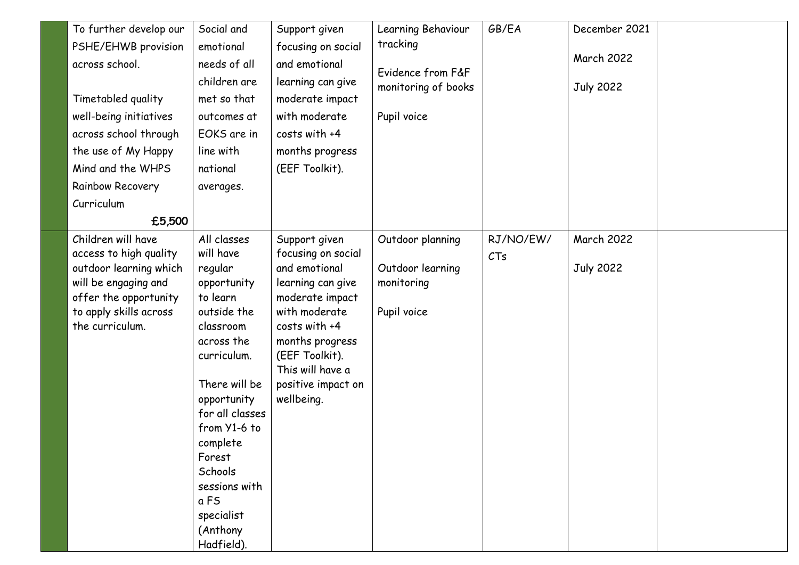| To further develop our | Social and              | Support given                    | Learning Behaviour  | GB/EA     | December 2021     |  |
|------------------------|-------------------------|----------------------------------|---------------------|-----------|-------------------|--|
| PSHE/EHWB provision    | emotional               | focusing on social               | tracking            |           |                   |  |
| across school.         | needs of all            | and emotional                    | Evidence from F&F   |           | <b>March 2022</b> |  |
|                        | children are            | learning can give                | monitoring of books |           | <b>July 2022</b>  |  |
| Timetabled quality     | met so that             | moderate impact                  |                     |           |                   |  |
| well-being initiatives | outcomes at             | with moderate                    | Pupil voice         |           |                   |  |
| across school through  | EOKS are in             | costs with +4                    |                     |           |                   |  |
| the use of My Happy    | line with               | months progress                  |                     |           |                   |  |
| Mind and the WHPS      | national                | (EEF Toolkit).                   |                     |           |                   |  |
| Rainbow Recovery       | averages.               |                                  |                     |           |                   |  |
| Curriculum             |                         |                                  |                     |           |                   |  |
| £5,500                 |                         |                                  |                     |           |                   |  |
| Children will have     | All classes             | Support given                    | Outdoor planning    | RJ/NO/EW/ | <b>March 2022</b> |  |
| access to high quality | will have               | focusing on social               |                     | CTs       |                   |  |
| outdoor learning which | regular                 | and emotional                    | Outdoor learning    |           | <b>July 2022</b>  |  |
| will be engaging and   | opportunity             | learning can give                | monitoring          |           |                   |  |
| offer the opportunity  | to learn                | moderate impact                  |                     |           |                   |  |
| to apply skills across | outside the             | with moderate                    | Pupil voice         |           |                   |  |
| the curriculum.        | classroom<br>across the | costs with +4<br>months progress |                     |           |                   |  |
|                        | curriculum.             | (EEF Toolkit).                   |                     |           |                   |  |
|                        |                         | This will have a                 |                     |           |                   |  |
|                        | There will be           | positive impact on               |                     |           |                   |  |
|                        | opportunity             | wellbeing.                       |                     |           |                   |  |
|                        | for all classes         |                                  |                     |           |                   |  |
|                        | from Y1-6 to            |                                  |                     |           |                   |  |
|                        | complete                |                                  |                     |           |                   |  |
|                        | Forest                  |                                  |                     |           |                   |  |
|                        | Schools                 |                                  |                     |           |                   |  |
|                        | sessions with           |                                  |                     |           |                   |  |
|                        | a FS                    |                                  |                     |           |                   |  |
|                        | specialist              |                                  |                     |           |                   |  |
|                        | (Anthony                |                                  |                     |           |                   |  |
|                        | Hadfield).              |                                  |                     |           |                   |  |